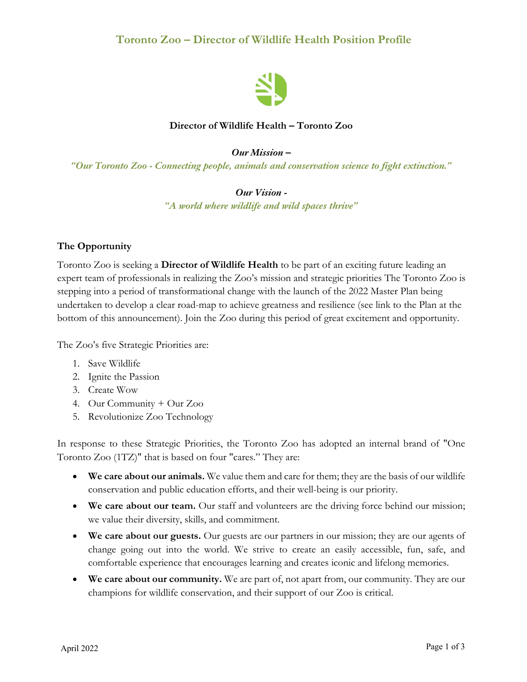

### **Director of Wildlife Health – Toronto Zoo**

#### *Our Mission –*

*"Our Toronto Zoo - Connecting people, animals and conservation science to fight extinction."*

#### *Our Vision -*

*"A world where wildlife and wild spaces thrive"*

#### **The Opportunity**

Toronto Zoo is seeking a **Director of Wildlife Health** to be part of an exciting future leading an expert team of professionals in realizing the Zoo's mission and strategic priorities The Toronto Zoo is stepping into a period of transformational change with the launch of the 2022 Master Plan being undertaken to develop a clear road-map to achieve greatness and resilience (see link to the Plan at the bottom of this announcement). Join the Zoo during this period of great excitement and opportunity.

The Zoo's five Strategic Priorities are:

- 1. Save Wildlife
- 2. Ignite the Passion
- 3. Create Wow
- 4. Our Community + Our Zoo
- 5. Revolutionize Zoo Technology

In response to these Strategic Priorities, the Toronto Zoo has adopted an internal brand of "One Toronto Zoo (1TZ)" that is based on four "cares." They are:

- **We care about our animals.** We value them and care for them; they are the basis of our wildlife conservation and public education efforts, and their well-being is our priority.
- **We care about our team.** Our staff and volunteers are the driving force behind our mission; we value their diversity, skills, and commitment.
- **We care about our guests.** Our guests are our partners in our mission; they are our agents of change going out into the world. We strive to create an easily accessible, fun, safe, and comfortable experience that encourages learning and creates iconic and lifelong memories.
- **We care about our community.** We are part of, not apart from, our community. They are our champions for wildlife conservation, and their support of our Zoo is critical.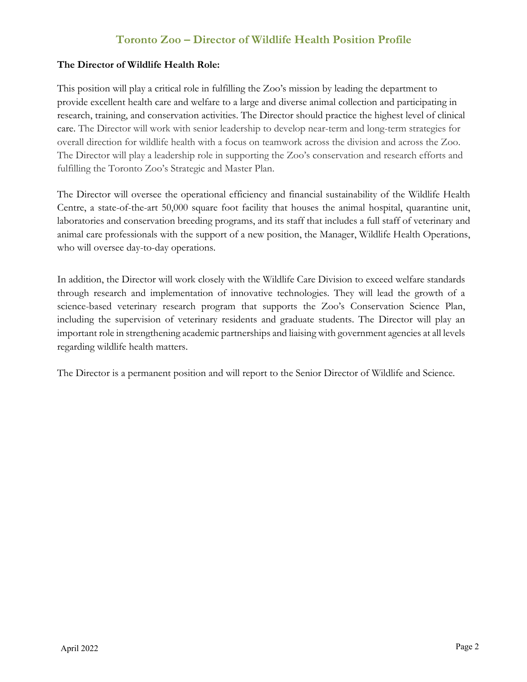### **The Director of Wildlife Health Role:**

This position will play a critical role in fulfilling the Zoo's mission by leading the department to provide excellent health care and welfare to a large and diverse animal collection and participating in research, training, and conservation activities. The Director should practice the highest level of clinical care. The Director will work with senior leadership to develop near-term and long-term strategies for overall direction for wildlife health with a focus on teamwork across the division and across the Zoo. The Director will play a leadership role in supporting the Zoo's conservation and research efforts and fulfilling the Toronto Zoo's Strategic and Master Plan.

The Director will oversee the operational efficiency and financial sustainability of the Wildlife Health Centre, a state-of-the-art 50,000 square foot facility that houses the animal hospital, quarantine unit, laboratories and conservation breeding programs, and its staff that includes a full staff of veterinary and animal care professionals with the support of a new position, the Manager, Wildlife Health Operations, who will oversee day-to-day operations.

In addition, the Director will work closely with the Wildlife Care Division to exceed welfare standards through research and implementation of innovative technologies. They will lead the growth of a science-based veterinary research program that supports the Zoo's Conservation Science Plan, including the supervision of veterinary residents and graduate students. The Director will play an important role in strengthening academic partnerships and liaising with government agencies at all levels regarding wildlife health matters.

The Director is a permanent position and will report to the Senior Director of Wildlife and Science.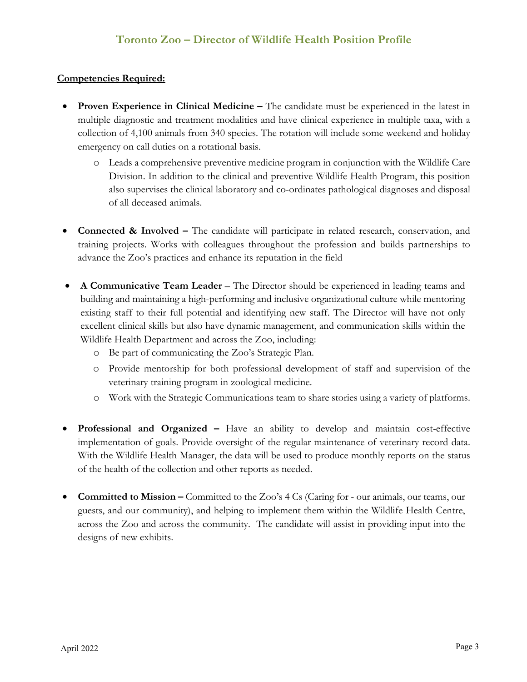#### **Competencies Required:**

- **Proven Experience in Clinical Medicine –** The candidate must be experienced in the latest in multiple diagnostic and treatment modalities and have clinical experience in multiple taxa, with a collection of 4,100 animals from 340 species. The rotation will include some weekend and holiday emergency on call duties on a rotational basis.
	- o Leads a comprehensive preventive medicine program in conjunction with the Wildlife Care Division. In addition to the clinical and preventive Wildlife Health Program, this position also supervises the clinical laboratory and co-ordinates pathological diagnoses and disposal of all deceased animals.
- **Connected & Involved –** The candidate will participate in related research, conservation, and training projects. Works with colleagues throughout the profession and builds partnerships to advance the Zoo's practices and enhance its reputation in the field
- **A Communicative Team Leader** The Director should be experienced in leading teams and building and maintaining a high-performing and inclusive organizational culture while mentoring existing staff to their full potential and identifying new staff. The Director will have not only excellent clinical skills but also have dynamic management, and communication skills within the Wildlife Health Department and across the Zoo, including:
	- o Be part of communicating the Zoo's Strategic Plan.
	- o Provide mentorship for both professional development of staff and supervision of the veterinary training program in zoological medicine.
	- o Work with the Strategic Communications team to share stories using a variety of platforms.
- **Professional and Organized –** Have an ability to develop and maintain cost-effective implementation of goals. Provide oversight of the regular maintenance of veterinary record data. With the Wildlife Health Manager, the data will be used to produce monthly reports on the status of the health of the collection and other reports as needed.
- **Committed to Mission –** Committed to the Zoo's 4 Cs (Caring for our animals, our teams, our guests, and our community), and helping to implement them within the Wildlife Health Centre, across the Zoo and across the community. The candidate will assist in providing input into the designs of new exhibits.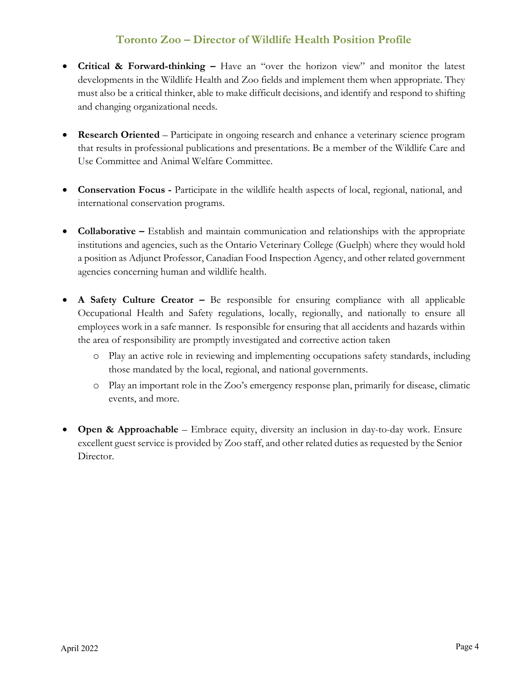- **Critical & Forward-thinking –** Have an "over the horizon view" and monitor the latest developments in the Wildlife Health and Zoo fields and implement them when appropriate. They must also be a critical thinker, able to make difficult decisions, and identify and respond to shifting and changing organizational needs.
- **Research Oriented** Participate in ongoing research and enhance a veterinary science program that results in professional publications and presentations. Be a member of the Wildlife Care and Use Committee and Animal Welfare Committee.
- **Conservation Focus -** Participate in the wildlife health aspects of local, regional, national, and international conservation programs.
- **Collaborative** Establish and maintain communication and relationships with the appropriate institutions and agencies, such as the Ontario Veterinary College (Guelph) where they would hold a position as Adjunct Professor, Canadian Food Inspection Agency, and other related government agencies concerning human and wildlife health.
- **A Safety Culture Creator** Be responsible for ensuring compliance with all applicable Occupational Health and Safety regulations, locally, regionally, and nationally to ensure all employees work in a safe manner. Is responsible for ensuring that all accidents and hazards within the area of responsibility are promptly investigated and corrective action taken
	- o Play an active role in reviewing and implementing occupations safety standards, including those mandated by the local, regional, and national governments.
	- o Play an important role in the Zoo's emergency response plan, primarily for disease, climatic events, and more.
- **Open & Approachable** Embrace equity, diversity an inclusion in day-to-day work. Ensure excellent guest service is provided by Zoo staff, and other related duties as requested by the Senior Director.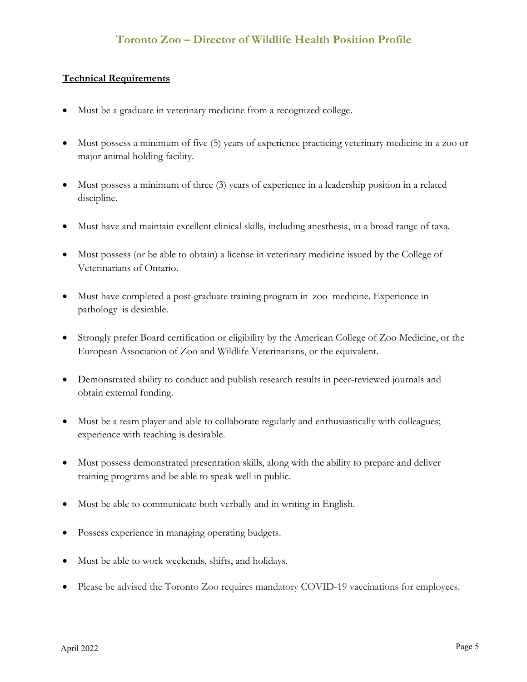#### **Technical Requirements**

- Must be a graduate in veterinary medicine from a recognized college.
- Must possess a minimum of five (5) years of experience practicing veterinary medicine in a zoo or major animal holding facility.
- Must possess a minimum of three (3) years of experience in a leadership position in a related discipline.
- Must have and maintain excellent clinical skills, including anesthesia, in a broad range of taxa.
- Must possess (or be able to obtain) a license in veterinary medicine issued by the College of Veterinarians of Ontario.
- Must have completed a post-graduate training program in zoo medicine. Experience in pathology is desirable.
- Strongly prefer Board certification or eligibility by the American College of Zoo Medicine, or the European Association of Zoo and Wildlife Veterinarians, or the equivalent.
- Demonstrated ability to conduct and publish research results in peer-reviewed journals and obtain external funding.
- Must be a team player and able to collaborate regularly and enthusiastically with colleagues; experience with teaching is desirable.
- Must possess demonstrated presentation skills, along with the ability to prepare and deliver training programs and be able to speak well in public.
- Must be able to communicate both verbally and in writing in English.
- Possess experience in managing operating budgets.
- Must be able to work weekends, shifts, and holidays.
- Please be advised the Toronto Zoo requires mandatory COVID-19 vaccinations for employees.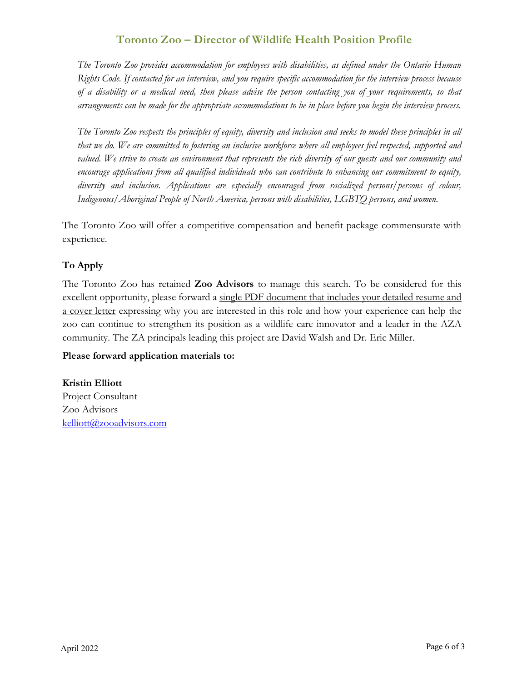*The Toronto Zoo provides accommodation for employees with disabilities, as defined under the Ontario Human Rights Code. If contacted for an interview, and you require specific accommodation for the interview process because of a disability or a medical need, then please advise the person contacting you of your requirements, so that arrangements can be made for the appropriate accommodations to be in place before you begin the interview process.*

*The Toronto Zoo respects the principles of equity, diversity and inclusion and seeks to model these principles in all that we do. We are committed to fostering an inclusive workforce where all employees feel respected, supported and*  valued. We strive to create an environment that represents the rich diversity of our guests and our community and *encourage applications from all qualified individuals who can contribute to enhancing our commitment to equity, diversity and inclusion. Applications are especially encouraged from racialized persons/persons of colour, Indigenous/Aboriginal People of North America, persons with disabilities, LGBTQ persons, and women.*

The Toronto Zoo will offer a competitive compensation and benefit package commensurate with experience.

### **To Apply**

The Toronto Zoo has retained **Zoo Advisors** to manage this search. To be considered for this excellent opportunity, please forward a single PDF document that includes your detailed resume and a cover letter expressing why you are interested in this role and how your experience can help the zoo can continue to strengthen its position as a wildlife care innovator and a leader in the AZA community. The ZA principals leading this project are David Walsh and Dr. Eric Miller.

#### **Please forward application materials to:**

**Kristin Elliott** Project Consultant Zoo Advisors kelliott@zooadvisors.com